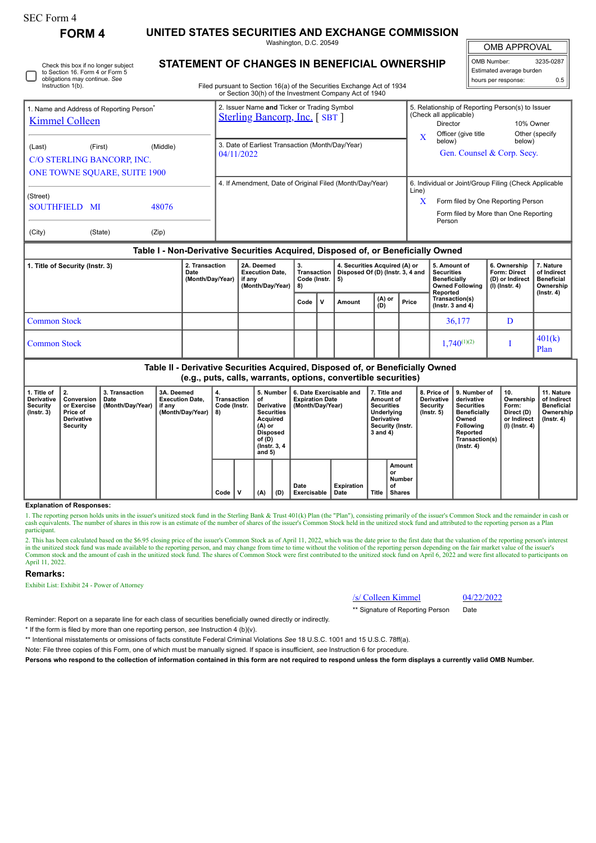# **FORM 4 UNITED STATES SECURITIES AND EXCHANGE COMMISSION**

Check this box if no longer subject

Washington, D.C. 20549

**STATEMENT OF CHANGES IN BENEFICIAL OWNERSHIP**

OMB APPROVAL

H

| OMB Number:              | 3235-0287 |  |  |  |  |  |
|--------------------------|-----------|--|--|--|--|--|
| Estimated average burden |           |  |  |  |  |  |
| hours per response:      | 0.5       |  |  |  |  |  |

| to Section 16. Form 4 or Form 5<br>obligations may continue. See<br>Instruction 1(b).                                                                                               | Filed pursuant to Section 16(a) of the Securities Exchange Act of 1934<br>or Section 30(h) of the Investment Company Act of 1940                      | Estimated average burden<br>hours per response:                                                                                                                                                 | 0.5 |  |
|-------------------------------------------------------------------------------------------------------------------------------------------------------------------------------------|-------------------------------------------------------------------------------------------------------------------------------------------------------|-------------------------------------------------------------------------------------------------------------------------------------------------------------------------------------------------|-----|--|
| I. Name and Address of Reporting Person <sup>®</sup><br><b>Kimmel Colleen</b><br>(Middle)<br>(Last)<br>(First)<br>C/O STERLING BANCORP, INC.<br><b>ONE TOWNE SOUARE, SUITE 1900</b> | 2. Issuer Name and Ticker or Trading Symbol<br><b>Sterling Bancorp, Inc.</b> [SBT ]<br>3. Date of Earliest Transaction (Month/Day/Year)<br>04/11/2022 | 5. Relationship of Reporting Person(s) to Issuer<br>(Check all applicable)<br>10% Owner<br>Director<br>Officer (give title<br>Other (specify)<br>below)<br>below)<br>Gen. Counsel & Corp. Secy. |     |  |
| (Street)<br>48076<br><b>SOUTHFIELD MI</b>                                                                                                                                           | 4. If Amendment, Date of Original Filed (Month/Day/Year)                                                                                              | 6. Individual or Joint/Group Filing (Check Applicable<br>Line)<br>X<br>Form filed by One Reporting Person                                                                                       |     |  |

 $\vdash$ orm  $\textsf{mled}$  by One Reporting Person Form filed by More than One Reporting Person

| (City) | (State) | (Zip) |
|--------|---------|-------|

## **Table I - Non-Derivative Securities Acquired, Disposed of, or Beneficially Owned**

| 1. Title of Security (Instr. 3) | 2. Transaction<br>Date<br>(Month/Day/Year) | 2A. Deemed<br><b>Execution Date.</b><br>if anv<br>(Month/Day/Year)   8) | Transaction<br>Code (Instr. $\vert 5 \rangle$<br>$\mathbf{v}$<br>Code |  | 4. Securities Acquired (A) or<br>Disposed Of (D) (Instr. 3, 4 and |                   |       | 5. Amount of<br><b>Securities</b><br><b>Beneficially</b><br><b>Owned Following</b><br>Reported | 6. Ownership<br><b>Form: Direct</b><br>(D) or Indirect<br>$(l)$ (lnstr. 4) | 7. Nature<br>of Indirect<br><b>Beneficial</b><br>Ownership<br>$($ Instr. 4 $)$ |
|---------------------------------|--------------------------------------------|-------------------------------------------------------------------------|-----------------------------------------------------------------------|--|-------------------------------------------------------------------|-------------------|-------|------------------------------------------------------------------------------------------------|----------------------------------------------------------------------------|--------------------------------------------------------------------------------|
|                                 |                                            |                                                                         |                                                                       |  | Amount                                                            | $ $ (A) or<br>(D) | Price | Transaction(s)<br>( $lnstr. 3 and 4$ )                                                         |                                                                            |                                                                                |
| Common Stock                    |                                            |                                                                         |                                                                       |  |                                                                   |                   |       | 36,177                                                                                         |                                                                            |                                                                                |
| <b>Common Stock</b>             |                                            |                                                                         |                                                                       |  |                                                                   |                   |       | $1,740^{(1)(2)}$                                                                               |                                                                            | 401(k)<br>Plan                                                                 |

### **Table II - Derivative Securities Acquired, Disposed of, or Beneficially Owned (e.g., puts, calls, warrants, options, convertible securities)**

| 1. Title of<br>Derivative<br>Security<br>$($ lnstr. 3 $)$ | $\overline{2}$ .<br>Conversion<br>or Exercise<br>Price of<br>Derivative<br>Security | 3. Transaction<br>Date<br>(Month/Day/Year) | 3A. Deemed<br><b>Execution Date.</b><br>if any<br>(Month/Day/Year) | 4.<br>Transaction<br>Code (Instr.<br>8) |   | 5. Number<br>οf<br>Derivative<br><b>Securities</b><br>' Acquired<br>(A) or<br><b>Disposed</b><br>of (D)<br>(Instr. 3, 4)<br>and $5)$ |     | 6. Date Exercisable and<br><b>Expiration Date</b><br>(Month/Day/Year) |                    | 7. Title and<br>Amount of<br><b>Securities</b><br>Underlying<br><b>Derivative</b><br>Security (Instr.<br>3 and 4) |                                        | <b>Derivative</b><br>Security<br>$($ lnstr. 5 $)$ | 8. Price of 19. Number of<br>derivative<br><b>Securities</b><br><b>Beneficially</b><br>Owned<br>Following<br>Reported<br>Transaction(s)<br>$($ Instr. 4 $)$ | 10.<br>Ownership<br>Form:<br>Direct (D)<br>or Indirect<br>  (I) (Instr. 4) | 11. Nature<br>of Indirect<br><b>Beneficial</b><br>Ownership<br>(Instr. 4) |
|-----------------------------------------------------------|-------------------------------------------------------------------------------------|--------------------------------------------|--------------------------------------------------------------------|-----------------------------------------|---|--------------------------------------------------------------------------------------------------------------------------------------|-----|-----------------------------------------------------------------------|--------------------|-------------------------------------------------------------------------------------------------------------------|----------------------------------------|---------------------------------------------------|-------------------------------------------------------------------------------------------------------------------------------------------------------------|----------------------------------------------------------------------------|---------------------------------------------------------------------------|
|                                                           |                                                                                     |                                            |                                                                    | Code                                    | ν | (A)                                                                                                                                  | (D) | Date<br>Exercisable                                                   | Expiration<br>Date | Title                                                                                                             | Amount<br>or<br>Number<br>οf<br>Shares |                                                   |                                                                                                                                                             |                                                                            |                                                                           |

#### **Explanation of Responses:**

1. The reporting person holds units in the issuer's unitized stock fund in the Sterling Bank & Trust 401(k) Plan (the "Plan"), consisting primarily of the issuer's Common Stock and the remainder in cash or cash equivalents. The number of shares in this row is an estimate of the number of shares of the issuer's Common Stock held in the unitized stock fund and attributed to the reporting person as a Plan participant.

2. This has been calculated based on the \$6.95 closing price of the issuer's Common Stock as of April 11, 2022, which was the date prior to the first date that the valuation of the reporting person's interest in the unitized stock fund was made available to the reporting person, and may change from time to time without the volition of the reporting person depending on the fair market value of the issuer's Common stock and the amount of cash in the unitized stock fund. The shares of Common Stock were first contributed to the unitized stock fund on April 6, 2022 and were first allocated to participants on April 11, 2022.

#### **Remarks:**

Exhibit List: Exhibit 24 - Power of Attorney

| /s/ Colleen Kimmel | 04/22/2022 |
|--------------------|------------|
|--------------------|------------|

\*\* Signature of Reporting Person Date

Reminder: Report on a separate line for each class of securities beneficially owned directly or indirectly.

\* If the form is filed by more than one reporting person, *see* Instruction 4 (b)(v).

\*\* Intentional misstatements or omissions of facts constitute Federal Criminal Violations *See* 18 U.S.C. 1001 and 15 U.S.C. 78ff(a).

Note: File three copies of this Form, one of which must be manually signed. If space is insufficient, *see* Instruction 6 for procedure.

**Persons who respond to the collection of information contained in this form are not required to respond unless the form displays a currently valid OMB Number.**